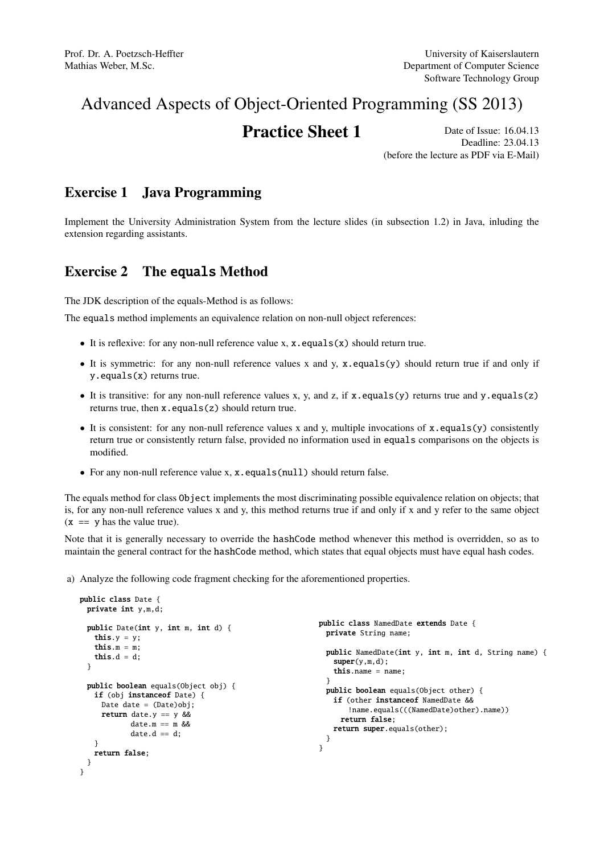# Advanced Aspects of Object-Oriented Programming (SS 2013)

# **Practice Sheet 1** Date of Issue: 16.04.13

Deadline: 23.04.13 (before the lecture as PDF via E-Mail)

#### Exercise 1 Java Programming

Implement the University Administration System from the lecture slides (in subsection 1.2) in Java, inluding the extension regarding assistants.

## Exercise 2 The equals Method

The JDK description of the equals-Method is as follows:

The equals method implements an equivalence relation on non-null object references:

- It is reflexive: for any non-null reference value x,  $x \cdot equals(x)$  should return true.
- It is symmetric: for any non-null reference values x and y, x.equals(y) should return true if and only if y.equals(x) returns true.
- It is transitive: for any non-null reference values x, y, and z, if x.equals(y) returns true and y.equals(z) returns true, then x.equals(z) should return true.
- It is consistent: for any non-null reference values x and y, multiple invocations of x.equals(y) consistently return true or consistently return false, provided no information used in equals comparisons on the objects is modified.
- For any non-null reference value x, x.equals(null) should return false.

The equals method for class Object implements the most discriminating possible equivalence relation on objects; that is, for any non-null reference values x and y, this method returns true if and only if x and y refer to the same object  $(x == y has the value true).$ 

Note that it is generally necessary to override the hashCode method whenever this method is overridden, so as to maintain the general contract for the hashCode method, which states that equal objects must have equal hash codes.

a) Analyze the following code fragment checking for the aforementioned properties.

```
public class Date {
 private int y,m,d;
 public Date(int y, int m, int d) {
   this.y = y;
   this.m = m;
   this.d = d;
 }
 public boolean equals(Object obj) {
   if (obj instanceof Date) {
     Date date = (Date)obi:
     return date.y == y & &
            date.m == m &&
            date.d == d;}
   return false;
 }
}
                                                         public class NamedDate extends Date {
                                                           private String name;
                                                           public NamedDate(int y, int m, int d, String name) {
                                                             super(y,m,d);this.name = name:
                                                           }
                                                           public boolean equals(Object other) {
                                                             if (other instanceof NamedDate &&
                                                                !name.equals(((NamedDate)other).name))
                                                              return false;
                                                            return super.equals(other);
                                                           }
                                                         }
```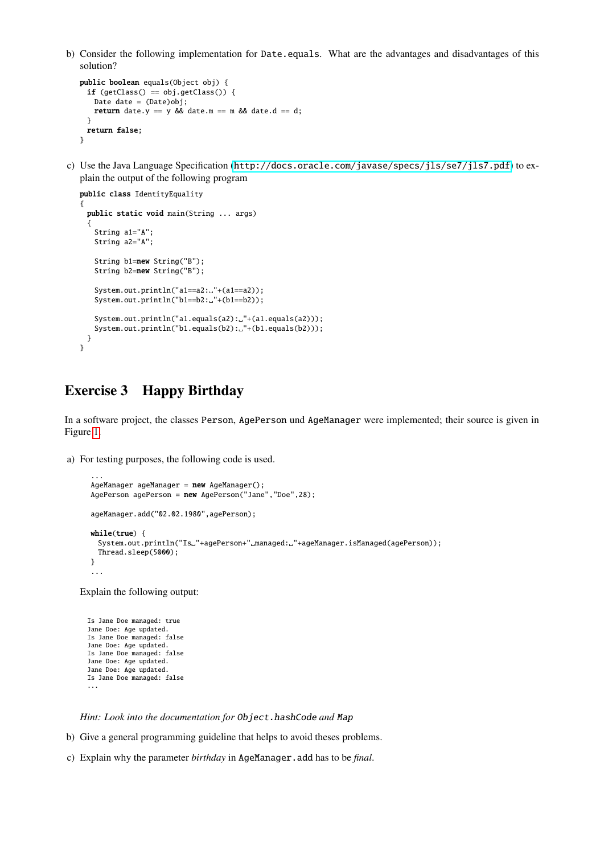b) Consider the following implementation for Date.equals. What are the advantages and disadvantages of this solution?

```
public boolean equals(Object obj) {
 if (getClass() == obj.getClass() {
   Date date = (Date)obj;
   return date.y == y && date.m == m && date.d == d;
 }
 return false;
}
```
c) Use the Java Language Specification (<http://docs.oracle.com/javase/specs/jls/se7/jls7.pdf>) to explain the output of the following program

```
public class IdentityEquality
{
 public static void main(String ... args)
  {
   String a1="A";
   String a2="A";
   String b1=new String("B");
   String b2=new String("B");
   System.out.println("a1==a2:."+(a1==a2));
   System.out.println("b1==b2:."+(b1==b2));
   System.out.println("a1.equals(a2): "+(a1.equals(a2)));
   System.out.println("b1.equals(b2): "+(b1.equals(b2)));
 }
}
```
## Exercise 3 Happy Birthday

In a software project, the classes Person, AgePerson und AgeManager were implemented; their source is given in Figure [1.](#page-2-0)

a) For testing purposes, the following code is used.

```
...
AgeManager ageManager = new AgeManager();
AgePerson agePerson = new AgePerson("Jane","Doe",28);
ageManager.add("02.02.1980",agePerson);
while(true) {
 System.out.println("Is."+agePerson+" managed: "+ageManager.isManaged(agePerson));
 Thread.sleep(5000);
}
...
```
Explain the following output:

```
Is Jane Doe managed: true
Jane Doe: Age updated.
Is Jane Doe managed: false
Jane Doe: Age updated.
Is Jane Doe managed: false
Jane Doe: Age updated.
Jane Doe: Age updated.
Is Jane Doe managed: false
...
```
*Hint: Look into the documentation for* Object.hashCode *and* Map

- b) Give a general programming guideline that helps to avoid theses problems.
- c) Explain why the parameter *birthday* in AgeManager.add has to be *final*.